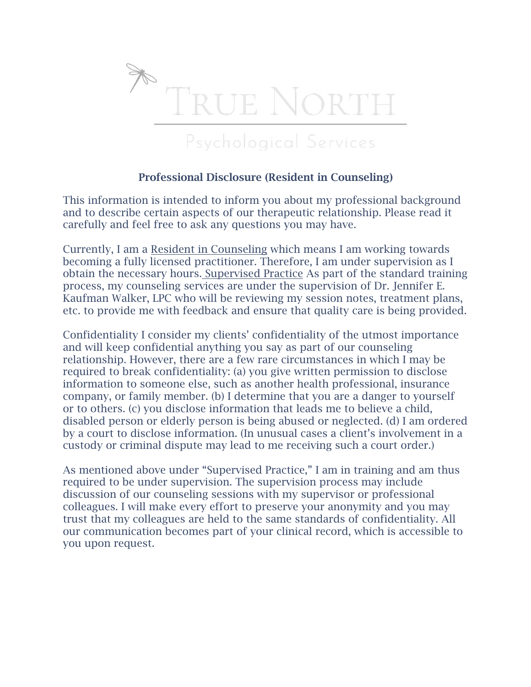

## Professional Disclosure (Resident in Counseling)

This information is intended to inform you about my professional background and to describe certain aspects of our therapeutic relationship. Please read it carefully and feel free to ask any questions you may have.

Currently, I am a Resident in Counseling which means I am working towards becoming a fully licensed practitioner. Therefore, I am under supervision as I obtain the necessary hours. Supervised Practice As part of the standard training process, my counseling services are under the supervision of Dr. Jennifer E. Kaufman Walker, LPC who will be reviewing my session notes, treatment plans, etc. to provide me with feedback and ensure that quality care is being provided.

Confidentiality I consider my clients' confidentiality of the utmost importance and will keep confidential anything you say as part of our counseling relationship. However, there are a few rare circumstances in which I may be required to break confidentiality: (a) you give written permission to disclose information to someone else, such as another health professional, insurance company, or family member. (b) I determine that you are a danger to yourself or to others. (c) you disclose information that leads me to believe a child, disabled person or elderly person is being abused or neglected. (d) I am ordered by a court to disclose information. (In unusual cases a client's involvement in a custody or criminal dispute may lead to me receiving such a court order.)

As mentioned above under "Supervised Practice," I am in training and am thus required to be under supervision. The supervision process may include discussion of our counseling sessions with my supervisor or professional colleagues. I will make every effort to preserve your anonymity and you may trust that my colleagues are held to the same standards of confidentiality. All our communication becomes part of your clinical record, which is accessible to you upon request.